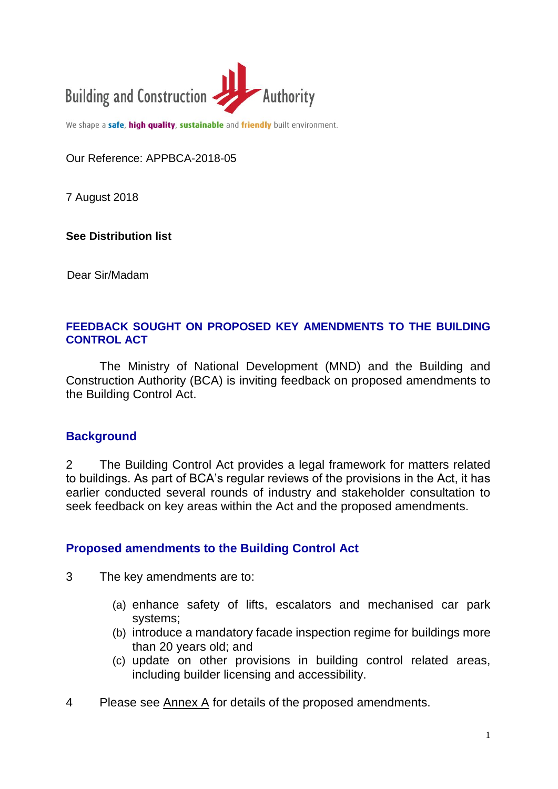

We shape a safe, high quality, sustainable and friendly built environment.

Our Reference: APPBCA-2018-05

7 August 2018

**See Distribution list**

Dear Sir/Madam

#### **FEEDBACK SOUGHT ON PROPOSED KEY AMENDMENTS TO THE BUILDING CONTROL ACT**

The Ministry of National Development (MND) and the Building and Construction Authority (BCA) is inviting feedback on proposed amendments to the Building Control Act.

#### **Background**

2 The Building Control Act provides a legal framework for matters related to buildings. As part of BCA's regular reviews of the provisions in the Act, it has earlier conducted several rounds of industry and stakeholder consultation to seek feedback on key areas within the Act and the proposed amendments.

#### **Proposed amendments to the Building Control Act**

3 The key amendments are to:

- (a) enhance safety of lifts, escalators and mechanised car park systems;
- (b) introduce a mandatory facade inspection regime for buildings more than 20 years old; and
- (c) update on other provisions in building control related areas, including builder licensing and accessibility.
- 4 Please see Annex A for details of the proposed amendments.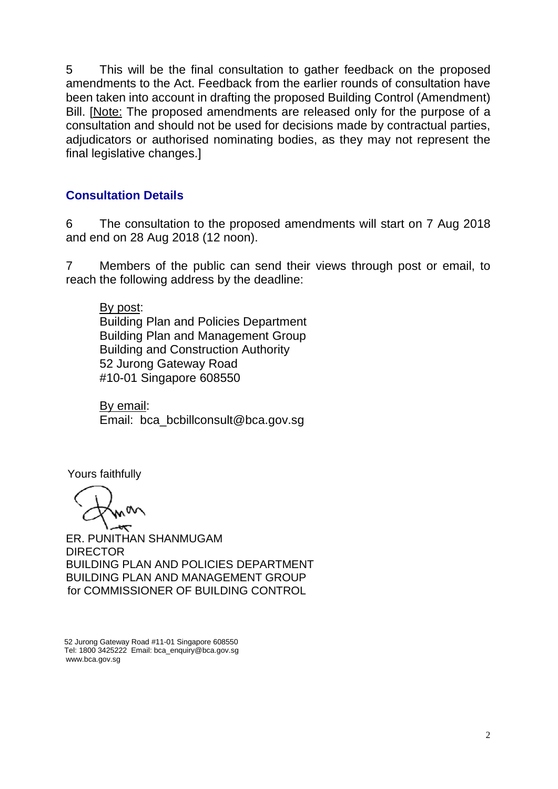5 This will be the final consultation to gather feedback on the proposed amendments to the Act. Feedback from the earlier rounds of consultation have been taken into account in drafting the proposed Building Control (Amendment) Bill. [Note: The proposed amendments are released only for the purpose of a consultation and should not be used for decisions made by contractual parties, adjudicators or authorised nominating bodies, as they may not represent the final legislative changes.]

## **Consultation Details**

6 The consultation to the proposed amendments will start on 7 Aug 2018 and end on 28 Aug 2018 (12 noon).

7 Members of the public can send their views through post or email, to reach the following address by the deadline:

By post: Building Plan and Policies Department Building Plan and Management Group Building and Construction Authority 52 Jurong Gateway Road #10-01 Singapore 608550

By email: Email: bca\_bcbillconsult@bca.gov.sg

Yours faithfully

ER. PUNITHAN SHANMUGAM **DIRECTOR** BUILDING PLAN AND POLICIES DEPARTMENT BUILDING PLAN AND MANAGEMENT GROUP for COMMISSIONER OF BUILDING CONTROL

52 Jurong Gateway Road #11-01 Singapore 608550 Tel: 1800 3425222 Email: bca\_enquiry@bca.gov.sg www.bca.gov.sg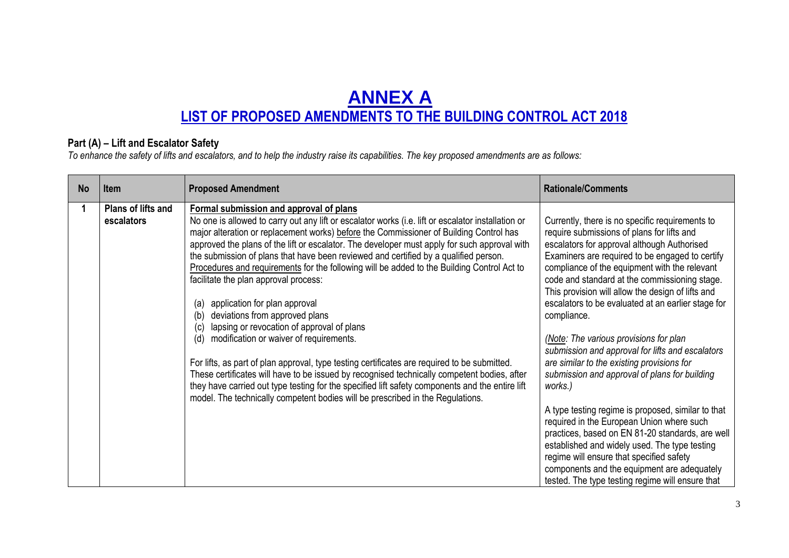# **ANNEX A LIST OF PROPOSED AMENDMENTS TO THE BUILDING CONTROL ACT 2018**

### **Part (A) – Lift and Escalator Safety**

*To enhance the safety of lifts and escalators, and to help the industry raise its capabilities. The key proposed amendments are as follows:*

| <b>No</b> | <b>Item</b>                      | <b>Proposed Amendment</b>                                                                                                                                                                                                                                                                                                                                                                                                                                                                                                                                                                                                                                                                                                                                                                                                                                                                                                                                                                                                                                                                                                                          | <b>Rationale/Comments</b>                                                                                                                                                                                                                                                                                                                                                                                                                                                                                                                                                                                                                                                                                                                                                                                                                                                                                                              |
|-----------|----------------------------------|----------------------------------------------------------------------------------------------------------------------------------------------------------------------------------------------------------------------------------------------------------------------------------------------------------------------------------------------------------------------------------------------------------------------------------------------------------------------------------------------------------------------------------------------------------------------------------------------------------------------------------------------------------------------------------------------------------------------------------------------------------------------------------------------------------------------------------------------------------------------------------------------------------------------------------------------------------------------------------------------------------------------------------------------------------------------------------------------------------------------------------------------------|----------------------------------------------------------------------------------------------------------------------------------------------------------------------------------------------------------------------------------------------------------------------------------------------------------------------------------------------------------------------------------------------------------------------------------------------------------------------------------------------------------------------------------------------------------------------------------------------------------------------------------------------------------------------------------------------------------------------------------------------------------------------------------------------------------------------------------------------------------------------------------------------------------------------------------------|
| 1         | Plans of lifts and<br>escalators | Formal submission and approval of plans<br>No one is allowed to carry out any lift or escalator works (i.e. lift or escalator installation or<br>major alteration or replacement works) before the Commissioner of Building Control has<br>approved the plans of the lift or escalator. The developer must apply for such approval with<br>the submission of plans that have been reviewed and certified by a qualified person.<br>Procedures and requirements for the following will be added to the Building Control Act to<br>facilitate the plan approval process:<br>application for plan approval<br>(a)<br>deviations from approved plans<br>(b)<br>lapsing or revocation of approval of plans<br>(c)<br>(d)<br>modification or waiver of requirements.<br>For lifts, as part of plan approval, type testing certificates are required to be submitted.<br>These certificates will have to be issued by recognised technically competent bodies, after<br>they have carried out type testing for the specified lift safety components and the entire lift<br>model. The technically competent bodies will be prescribed in the Regulations. | Currently, there is no specific requirements to<br>require submissions of plans for lifts and<br>escalators for approval although Authorised<br>Examiners are required to be engaged to certify<br>compliance of the equipment with the relevant<br>code and standard at the commissioning stage.<br>This provision will allow the design of lifts and<br>escalators to be evaluated at an earlier stage for<br>compliance.<br>(Note: The various provisions for plan<br>submission and approval for lifts and escalators<br>are similar to the existing provisions for<br>submission and approval of plans for building<br>works.)<br>A type testing regime is proposed, similar to that<br>required in the European Union where such<br>practices, based on EN 81-20 standards, are well<br>established and widely used. The type testing<br>regime will ensure that specified safety<br>components and the equipment are adequately |
|           |                                  |                                                                                                                                                                                                                                                                                                                                                                                                                                                                                                                                                                                                                                                                                                                                                                                                                                                                                                                                                                                                                                                                                                                                                    | tested. The type testing regime will ensure that                                                                                                                                                                                                                                                                                                                                                                                                                                                                                                                                                                                                                                                                                                                                                                                                                                                                                       |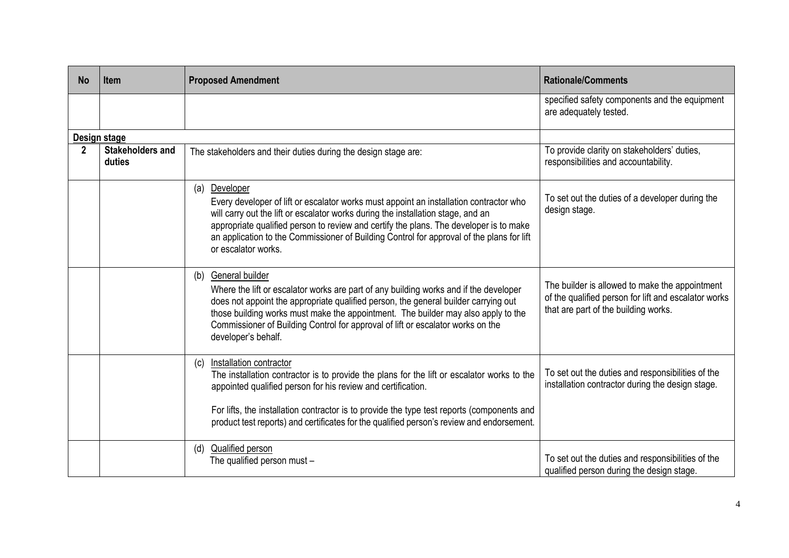| <b>No</b> | <b>Item</b>                       | <b>Proposed Amendment</b>                                                                                                                                                                                                                                                                                                                                                                                 | <b>Rationale/Comments</b>                                                                                                                      |
|-----------|-----------------------------------|-----------------------------------------------------------------------------------------------------------------------------------------------------------------------------------------------------------------------------------------------------------------------------------------------------------------------------------------------------------------------------------------------------------|------------------------------------------------------------------------------------------------------------------------------------------------|
|           |                                   |                                                                                                                                                                                                                                                                                                                                                                                                           | specified safety components and the equipment<br>are adequately tested.                                                                        |
|           | Design stage                      |                                                                                                                                                                                                                                                                                                                                                                                                           |                                                                                                                                                |
| 2         | <b>Stakeholders and</b><br>duties | The stakeholders and their duties during the design stage are:                                                                                                                                                                                                                                                                                                                                            | To provide clarity on stakeholders' duties,<br>responsibilities and accountability.                                                            |
|           |                                   | (a) Developer<br>Every developer of lift or escalator works must appoint an installation contractor who<br>will carry out the lift or escalator works during the installation stage, and an<br>appropriate qualified person to review and certify the plans. The developer is to make<br>an application to the Commissioner of Building Control for approval of the plans for lift<br>or escalator works. | To set out the duties of a developer during the<br>design stage.                                                                               |
|           |                                   | (b) General builder<br>Where the lift or escalator works are part of any building works and if the developer<br>does not appoint the appropriate qualified person, the general builder carrying out<br>those building works must make the appointment. The builder may also apply to the<br>Commissioner of Building Control for approval of lift or escalator works on the<br>developer's behalf.        | The builder is allowed to make the appointment<br>of the qualified person for lift and escalator works<br>that are part of the building works. |
|           |                                   | Installation contractor<br>(c)<br>The installation contractor is to provide the plans for the lift or escalator works to the<br>appointed qualified person for his review and certification.<br>For lifts, the installation contractor is to provide the type test reports (components and<br>product test reports) and certificates for the qualified person's review and endorsement.                   | To set out the duties and responsibilities of the<br>installation contractor during the design stage.                                          |
|           |                                   | (d) Qualified person<br>The qualified person must -                                                                                                                                                                                                                                                                                                                                                       | To set out the duties and responsibilities of the<br>qualified person during the design stage.                                                 |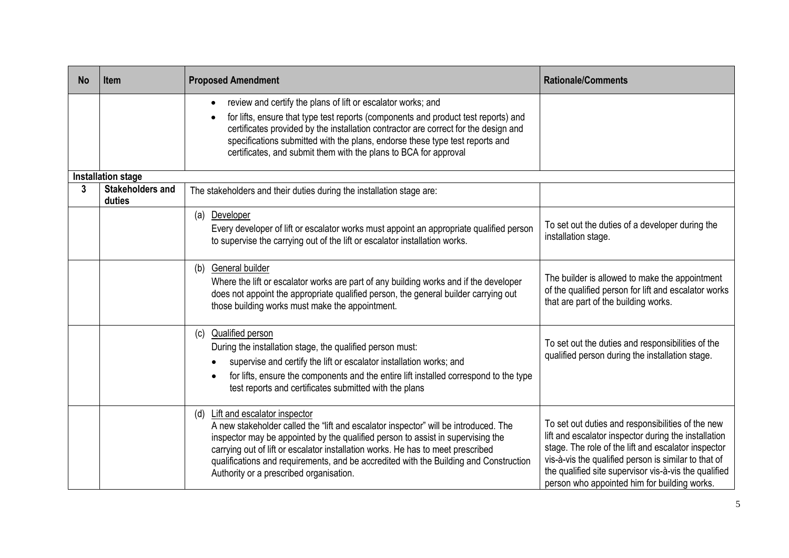| <b>No</b> | <b>Item</b>                       | <b>Proposed Amendment</b>                                                                                                                                                                                                                                                                                                                                                                                                                   | <b>Rationale/Comments</b>                                                                                                                                                                                                                                                                                                         |
|-----------|-----------------------------------|---------------------------------------------------------------------------------------------------------------------------------------------------------------------------------------------------------------------------------------------------------------------------------------------------------------------------------------------------------------------------------------------------------------------------------------------|-----------------------------------------------------------------------------------------------------------------------------------------------------------------------------------------------------------------------------------------------------------------------------------------------------------------------------------|
|           |                                   | review and certify the plans of lift or escalator works; and<br>$\bullet$<br>for lifts, ensure that type test reports (components and product test reports) and<br>certificates provided by the installation contractor are correct for the design and<br>specifications submitted with the plans, endorse these type test reports and<br>certificates, and submit them with the plans to BCA for approval                                  |                                                                                                                                                                                                                                                                                                                                   |
|           | <b>Installation stage</b>         |                                                                                                                                                                                                                                                                                                                                                                                                                                             |                                                                                                                                                                                                                                                                                                                                   |
| 3         | <b>Stakeholders and</b><br>duties | The stakeholders and their duties during the installation stage are:                                                                                                                                                                                                                                                                                                                                                                        |                                                                                                                                                                                                                                                                                                                                   |
|           |                                   | Developer<br>(a)<br>Every developer of lift or escalator works must appoint an appropriate qualified person<br>to supervise the carrying out of the lift or escalator installation works.                                                                                                                                                                                                                                                   | To set out the duties of a developer during the<br>installation stage.                                                                                                                                                                                                                                                            |
|           |                                   | (b) General builder<br>Where the lift or escalator works are part of any building works and if the developer<br>does not appoint the appropriate qualified person, the general builder carrying out<br>those building works must make the appointment.                                                                                                                                                                                      | The builder is allowed to make the appointment<br>of the qualified person for lift and escalator works<br>that are part of the building works.                                                                                                                                                                                    |
|           |                                   | <b>Qualified person</b><br>(c)<br>During the installation stage, the qualified person must:<br>supervise and certify the lift or escalator installation works; and<br>for lifts, ensure the components and the entire lift installed correspond to the type<br>test reports and certificates submitted with the plans                                                                                                                       | To set out the duties and responsibilities of the<br>qualified person during the installation stage.                                                                                                                                                                                                                              |
|           |                                   | <b>Lift and escalator inspector</b><br>(d)<br>A new stakeholder called the "lift and escalator inspector" will be introduced. The<br>inspector may be appointed by the qualified person to assist in supervising the<br>carrying out of lift or escalator installation works. He has to meet prescribed<br>qualifications and requirements, and be accredited with the Building and Construction<br>Authority or a prescribed organisation. | To set out duties and responsibilities of the new<br>lift and escalator inspector during the installation<br>stage. The role of the lift and escalator inspector<br>vis-à-vis the qualified person is similar to that of<br>the qualified site supervisor vis-à-vis the qualified<br>person who appointed him for building works. |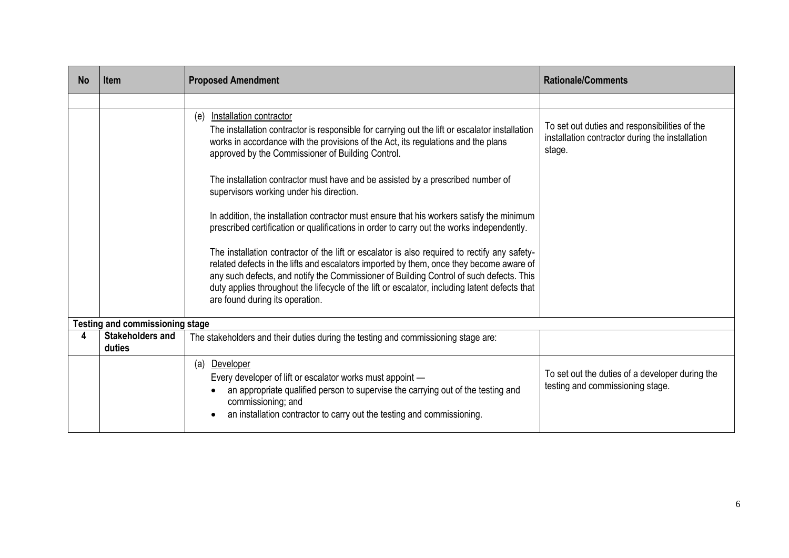| <b>No</b> | <b>Item</b>                            | <b>Proposed Amendment</b>                                                                                                                                                                                                                                                                                                                                                                                              | <b>Rationale/Comments</b>                                                                                  |
|-----------|----------------------------------------|------------------------------------------------------------------------------------------------------------------------------------------------------------------------------------------------------------------------------------------------------------------------------------------------------------------------------------------------------------------------------------------------------------------------|------------------------------------------------------------------------------------------------------------|
|           |                                        |                                                                                                                                                                                                                                                                                                                                                                                                                        |                                                                                                            |
|           |                                        | Installation contractor<br>(e)<br>The installation contractor is responsible for carrying out the lift or escalator installation<br>works in accordance with the provisions of the Act, its regulations and the plans<br>approved by the Commissioner of Building Control.                                                                                                                                             | To set out duties and responsibilities of the<br>installation contractor during the installation<br>stage. |
|           |                                        | The installation contractor must have and be assisted by a prescribed number of<br>supervisors working under his direction.                                                                                                                                                                                                                                                                                            |                                                                                                            |
|           |                                        | In addition, the installation contractor must ensure that his workers satisfy the minimum<br>prescribed certification or qualifications in order to carry out the works independently.                                                                                                                                                                                                                                 |                                                                                                            |
|           |                                        | The installation contractor of the lift or escalator is also required to rectify any safety-<br>related defects in the lifts and escalators imported by them, once they become aware of<br>any such defects, and notify the Commissioner of Building Control of such defects. This<br>duty applies throughout the lifecycle of the lift or escalator, including latent defects that<br>are found during its operation. |                                                                                                            |
|           | <b>Testing and commissioning stage</b> |                                                                                                                                                                                                                                                                                                                                                                                                                        |                                                                                                            |
| 4         | <b>Stakeholders and</b><br>duties      | The stakeholders and their duties during the testing and commissioning stage are:                                                                                                                                                                                                                                                                                                                                      |                                                                                                            |
|           |                                        | (a) Developer<br>Every developer of lift or escalator works must appoint -<br>an appropriate qualified person to supervise the carrying out of the testing and<br>commissioning; and<br>an installation contractor to carry out the testing and commissioning.                                                                                                                                                         | To set out the duties of a developer during the<br>testing and commissioning stage.                        |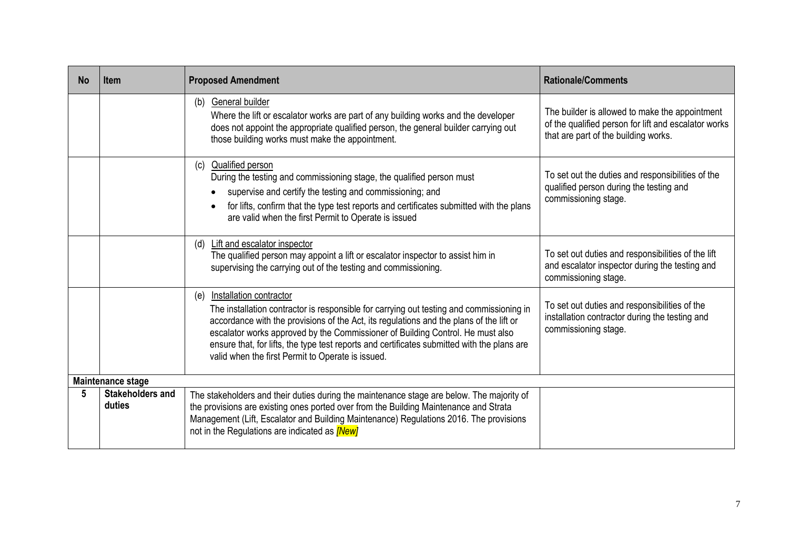| <b>No</b> | <b>Item</b>                       | <b>Proposed Amendment</b>                                                                                                                                                                                                                                                                                                                                                                                                                                          | <b>Rationale/Comments</b>                                                                                                                      |  |  |
|-----------|-----------------------------------|--------------------------------------------------------------------------------------------------------------------------------------------------------------------------------------------------------------------------------------------------------------------------------------------------------------------------------------------------------------------------------------------------------------------------------------------------------------------|------------------------------------------------------------------------------------------------------------------------------------------------|--|--|
|           |                                   | (b) General builder<br>Where the lift or escalator works are part of any building works and the developer<br>does not appoint the appropriate qualified person, the general builder carrying out<br>those building works must make the appointment.                                                                                                                                                                                                                | The builder is allowed to make the appointment<br>of the qualified person for lift and escalator works<br>that are part of the building works. |  |  |
|           |                                   | (c) Qualified person<br>During the testing and commissioning stage, the qualified person must<br>supervise and certify the testing and commissioning; and<br>for lifts, confirm that the type test reports and certificates submitted with the plans<br>are valid when the first Permit to Operate is issued                                                                                                                                                       | To set out the duties and responsibilities of the<br>qualified person during the testing and<br>commissioning stage.                           |  |  |
|           |                                   | Lift and escalator inspector<br>(d)<br>The qualified person may appoint a lift or escalator inspector to assist him in<br>supervising the carrying out of the testing and commissioning.                                                                                                                                                                                                                                                                           | To set out duties and responsibilities of the lift<br>and escalator inspector during the testing and<br>commissioning stage.                   |  |  |
|           |                                   | <b>Installation contractor</b><br>(e)<br>The installation contractor is responsible for carrying out testing and commissioning in<br>accordance with the provisions of the Act, its regulations and the plans of the lift or<br>escalator works approved by the Commissioner of Building Control. He must also<br>ensure that, for lifts, the type test reports and certificates submitted with the plans are<br>valid when the first Permit to Operate is issued. | To set out duties and responsibilities of the<br>installation contractor during the testing and<br>commissioning stage.                        |  |  |
|           | Maintenance stage                 |                                                                                                                                                                                                                                                                                                                                                                                                                                                                    |                                                                                                                                                |  |  |
| 5         | <b>Stakeholders and</b><br>duties | The stakeholders and their duties during the maintenance stage are below. The majority of<br>the provisions are existing ones ported over from the Building Maintenance and Strata<br>Management (Lift, Escalator and Building Maintenance) Regulations 2016. The provisions<br>not in the Regulations are indicated as <i>[New]</i>                                                                                                                               |                                                                                                                                                |  |  |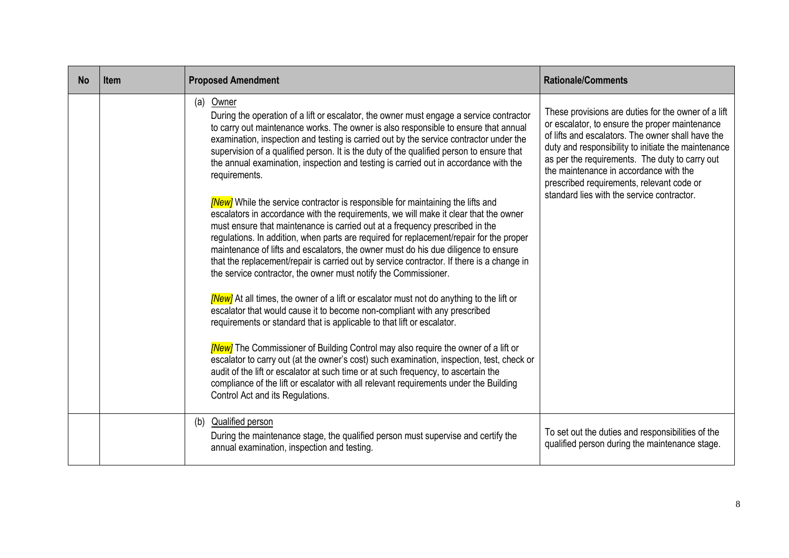| <b>No</b> | <b>Item</b> | <b>Proposed Amendment</b>                                                                                                                                                                                                                                                                                                                                                                                                                                                                                                                                                                                                                                                                                                                                                                                                                                                                                                                                                                                                                                                                                                                                                                                                                                                                                                                                                                                                                                                                                                                                                                                                                                                                                                                                                     | <b>Rationale/Comments</b>                                                                                                                                                                                                                                                                                                                                                                                |
|-----------|-------------|-------------------------------------------------------------------------------------------------------------------------------------------------------------------------------------------------------------------------------------------------------------------------------------------------------------------------------------------------------------------------------------------------------------------------------------------------------------------------------------------------------------------------------------------------------------------------------------------------------------------------------------------------------------------------------------------------------------------------------------------------------------------------------------------------------------------------------------------------------------------------------------------------------------------------------------------------------------------------------------------------------------------------------------------------------------------------------------------------------------------------------------------------------------------------------------------------------------------------------------------------------------------------------------------------------------------------------------------------------------------------------------------------------------------------------------------------------------------------------------------------------------------------------------------------------------------------------------------------------------------------------------------------------------------------------------------------------------------------------------------------------------------------------|----------------------------------------------------------------------------------------------------------------------------------------------------------------------------------------------------------------------------------------------------------------------------------------------------------------------------------------------------------------------------------------------------------|
|           |             | (a) Owner<br>During the operation of a lift or escalator, the owner must engage a service contractor<br>to carry out maintenance works. The owner is also responsible to ensure that annual<br>examination, inspection and testing is carried out by the service contractor under the<br>supervision of a qualified person. It is the duty of the qualified person to ensure that<br>the annual examination, inspection and testing is carried out in accordance with the<br>requirements.<br><b>[New]</b> While the service contractor is responsible for maintaining the lifts and<br>escalators in accordance with the requirements, we will make it clear that the owner<br>must ensure that maintenance is carried out at a frequency prescribed in the<br>regulations. In addition, when parts are required for replacement/repair for the proper<br>maintenance of lifts and escalators, the owner must do his due diligence to ensure<br>that the replacement/repair is carried out by service contractor. If there is a change in<br>the service contractor, the owner must notify the Commissioner.<br>[New] At all times, the owner of a lift or escalator must not do anything to the lift or<br>escalator that would cause it to become non-compliant with any prescribed<br>requirements or standard that is applicable to that lift or escalator.<br><b>[New]</b> The Commissioner of Building Control may also require the owner of a lift or<br>escalator to carry out (at the owner's cost) such examination, inspection, test, check or<br>audit of the lift or escalator at such time or at such frequency, to ascertain the<br>compliance of the lift or escalator with all relevant requirements under the Building<br>Control Act and its Regulations. | These provisions are duties for the owner of a lift<br>or escalator, to ensure the proper maintenance<br>of lifts and escalators. The owner shall have the<br>duty and responsibility to initiate the maintenance<br>as per the requirements. The duty to carry out<br>the maintenance in accordance with the<br>prescribed requirements, relevant code or<br>standard lies with the service contractor. |
|           |             | (b) Qualified person<br>During the maintenance stage, the qualified person must supervise and certify the<br>annual examination, inspection and testing.                                                                                                                                                                                                                                                                                                                                                                                                                                                                                                                                                                                                                                                                                                                                                                                                                                                                                                                                                                                                                                                                                                                                                                                                                                                                                                                                                                                                                                                                                                                                                                                                                      | To set out the duties and responsibilities of the<br>qualified person during the maintenance stage.                                                                                                                                                                                                                                                                                                      |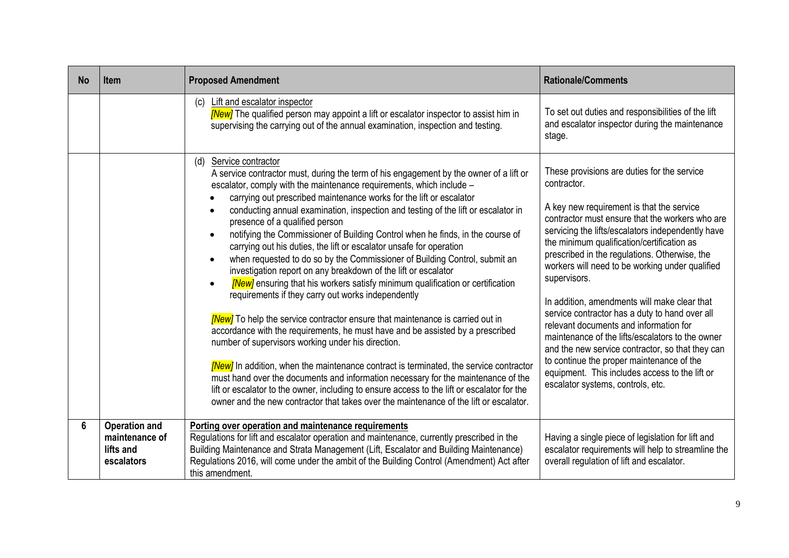| <b>No</b> | <b>Item</b>                                                       | <b>Proposed Amendment</b>                                                                                                                                                                                                                                                                                                                                                                                                                                                                                                                                                                                                                                                                                                                                                                                                                                                                                                                                                                                                                                                                                                                                                                                                                                                                                                                                                                                                                                                            | <b>Rationale/Comments</b>                                                                                                                                                                                                                                                                                                                                                                                                                                                                                                                                                                                                                                                                                                                                                 |
|-----------|-------------------------------------------------------------------|--------------------------------------------------------------------------------------------------------------------------------------------------------------------------------------------------------------------------------------------------------------------------------------------------------------------------------------------------------------------------------------------------------------------------------------------------------------------------------------------------------------------------------------------------------------------------------------------------------------------------------------------------------------------------------------------------------------------------------------------------------------------------------------------------------------------------------------------------------------------------------------------------------------------------------------------------------------------------------------------------------------------------------------------------------------------------------------------------------------------------------------------------------------------------------------------------------------------------------------------------------------------------------------------------------------------------------------------------------------------------------------------------------------------------------------------------------------------------------------|---------------------------------------------------------------------------------------------------------------------------------------------------------------------------------------------------------------------------------------------------------------------------------------------------------------------------------------------------------------------------------------------------------------------------------------------------------------------------------------------------------------------------------------------------------------------------------------------------------------------------------------------------------------------------------------------------------------------------------------------------------------------------|
|           |                                                                   | (c) Lift and escalator inspector<br><b>New</b> ] The qualified person may appoint a lift or escalator inspector to assist him in<br>supervising the carrying out of the annual examination, inspection and testing.                                                                                                                                                                                                                                                                                                                                                                                                                                                                                                                                                                                                                                                                                                                                                                                                                                                                                                                                                                                                                                                                                                                                                                                                                                                                  | To set out duties and responsibilities of the lift<br>and escalator inspector during the maintenance<br>stage.                                                                                                                                                                                                                                                                                                                                                                                                                                                                                                                                                                                                                                                            |
|           |                                                                   | Service contractor<br>(d)<br>A service contractor must, during the term of his engagement by the owner of a lift or<br>escalator, comply with the maintenance requirements, which include -<br>carrying out prescribed maintenance works for the lift or escalator<br>conducting annual examination, inspection and testing of the lift or escalator in<br>presence of a qualified person<br>notifying the Commissioner of Building Control when he finds, in the course of<br>$\bullet$<br>carrying out his duties, the lift or escalator unsafe for operation<br>when requested to do so by the Commissioner of Building Control, submit an<br>investigation report on any breakdown of the lift or escalator<br><b>[New]</b> ensuring that his workers satisfy minimum qualification or certification<br>$\bullet$<br>requirements if they carry out works independently<br><b>New</b> ] To help the service contractor ensure that maintenance is carried out in<br>accordance with the requirements, he must have and be assisted by a prescribed<br>number of supervisors working under his direction.<br>[New] In addition, when the maintenance contract is terminated, the service contractor<br>must hand over the documents and information necessary for the maintenance of the<br>lift or escalator to the owner, including to ensure access to the lift or escalator for the<br>owner and the new contractor that takes over the maintenance of the lift or escalator. | These provisions are duties for the service<br>contractor.<br>A key new requirement is that the service<br>contractor must ensure that the workers who are<br>servicing the lifts/escalators independently have<br>the minimum qualification/certification as<br>prescribed in the regulations. Otherwise, the<br>workers will need to be working under qualified<br>supervisors.<br>In addition, amendments will make clear that<br>service contractor has a duty to hand over all<br>relevant documents and information for<br>maintenance of the lifts/escalators to the owner<br>and the new service contractor, so that they can<br>to continue the proper maintenance of the<br>equipment. This includes access to the lift or<br>escalator systems, controls, etc. |
| 6         | <b>Operation and</b><br>maintenance of<br>lifts and<br>escalators | Porting over operation and maintenance requirements<br>Regulations for lift and escalator operation and maintenance, currently prescribed in the<br>Building Maintenance and Strata Management (Lift, Escalator and Building Maintenance)<br>Regulations 2016, will come under the ambit of the Building Control (Amendment) Act after<br>this amendment.                                                                                                                                                                                                                                                                                                                                                                                                                                                                                                                                                                                                                                                                                                                                                                                                                                                                                                                                                                                                                                                                                                                            | Having a single piece of legislation for lift and<br>escalator requirements will help to streamline the<br>overall regulation of lift and escalator.                                                                                                                                                                                                                                                                                                                                                                                                                                                                                                                                                                                                                      |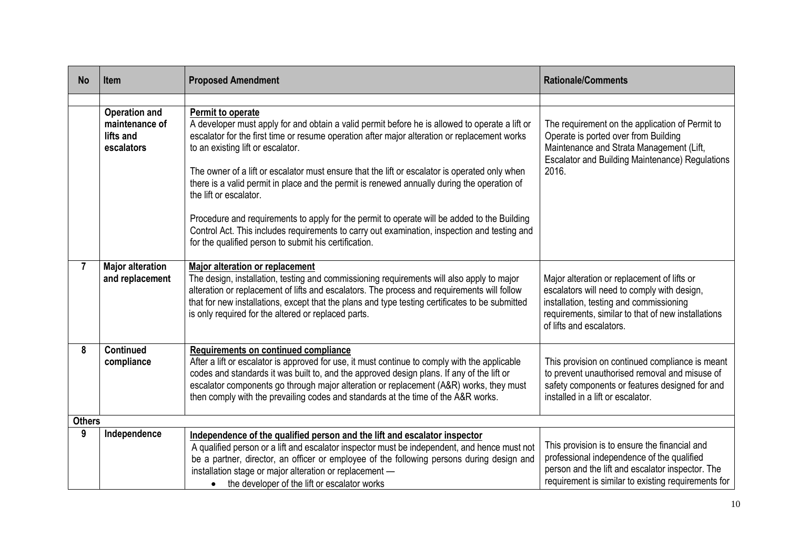| <b>No</b>    | <b>Item</b>                                                       | <b>Proposed Amendment</b>                                                                                                                                                                                                                                                                                                                                                                                         | <b>Rationale/Comments</b>                                                                                                                                                                                               |  |  |  |
|--------------|-------------------------------------------------------------------|-------------------------------------------------------------------------------------------------------------------------------------------------------------------------------------------------------------------------------------------------------------------------------------------------------------------------------------------------------------------------------------------------------------------|-------------------------------------------------------------------------------------------------------------------------------------------------------------------------------------------------------------------------|--|--|--|
|              |                                                                   |                                                                                                                                                                                                                                                                                                                                                                                                                   |                                                                                                                                                                                                                         |  |  |  |
|              | <b>Operation and</b><br>maintenance of<br>lifts and<br>escalators | Permit to operate<br>A developer must apply for and obtain a valid permit before he is allowed to operate a lift or<br>escalator for the first time or resume operation after major alteration or replacement works<br>to an existing lift or escalator.<br>The owner of a lift or escalator must ensure that the lift or escalator is operated only when                                                         | The requirement on the application of Permit to<br>Operate is ported over from Building<br>Maintenance and Strata Management (Lift,<br><b>Escalator and Building Maintenance) Regulations</b><br>2016.                  |  |  |  |
|              |                                                                   | there is a valid permit in place and the permit is renewed annually during the operation of<br>the lift or escalator.                                                                                                                                                                                                                                                                                             |                                                                                                                                                                                                                         |  |  |  |
|              |                                                                   | Procedure and requirements to apply for the permit to operate will be added to the Building<br>Control Act. This includes requirements to carry out examination, inspection and testing and<br>for the qualified person to submit his certification.                                                                                                                                                              |                                                                                                                                                                                                                         |  |  |  |
| $\mathbf{7}$ | <b>Major alteration</b><br>and replacement                        | <b>Major alteration or replacement</b><br>The design, installation, testing and commissioning requirements will also apply to major<br>alteration or replacement of lifts and escalators. The process and requirements will follow<br>that for new installations, except that the plans and type testing certificates to be submitted<br>is only required for the altered or replaced parts.                      | Major alteration or replacement of lifts or<br>escalators will need to comply with design,<br>installation, testing and commissioning<br>requirements, similar to that of new installations<br>of lifts and escalators. |  |  |  |
| 8            | <b>Continued</b><br>compliance                                    | Requirements on continued compliance<br>After a lift or escalator is approved for use, it must continue to comply with the applicable<br>codes and standards it was built to, and the approved design plans. If any of the lift or<br>escalator components go through major alteration or replacement (A&R) works, they must<br>then comply with the prevailing codes and standards at the time of the A&R works. | This provision on continued compliance is meant<br>to prevent unauthorised removal and misuse of<br>safety components or features designed for and<br>installed in a lift or escalator.                                 |  |  |  |
|              | <b>Others</b>                                                     |                                                                                                                                                                                                                                                                                                                                                                                                                   |                                                                                                                                                                                                                         |  |  |  |
| 9            | Independence                                                      | Independence of the qualified person and the lift and escalator inspector<br>A qualified person or a lift and escalator inspector must be independent, and hence must not<br>be a partner, director, an officer or employee of the following persons during design and<br>installation stage or major alteration or replacement -<br>• the developer of the lift or escalator works                               | This provision is to ensure the financial and<br>professional independence of the qualified<br>person and the lift and escalator inspector. The<br>requirement is similar to existing requirements for                  |  |  |  |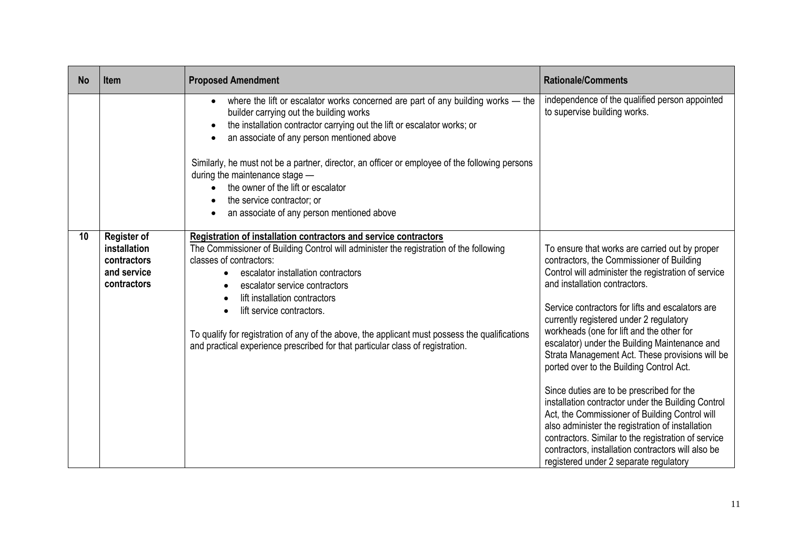| <b>No</b> | <b>Item</b>                                                                     | <b>Proposed Amendment</b>                                                                                                                                                                                                                                                                                                                                                                                                                                                                                                | <b>Rationale/Comments</b>                                                                                                                                                                                                                                                                                                                                                                                                                                                                                                                                                                                                                                                                                                                                                                                                                       |
|-----------|---------------------------------------------------------------------------------|--------------------------------------------------------------------------------------------------------------------------------------------------------------------------------------------------------------------------------------------------------------------------------------------------------------------------------------------------------------------------------------------------------------------------------------------------------------------------------------------------------------------------|-------------------------------------------------------------------------------------------------------------------------------------------------------------------------------------------------------------------------------------------------------------------------------------------------------------------------------------------------------------------------------------------------------------------------------------------------------------------------------------------------------------------------------------------------------------------------------------------------------------------------------------------------------------------------------------------------------------------------------------------------------------------------------------------------------------------------------------------------|
|           |                                                                                 | where the lift or escalator works concerned are part of any building works - the<br>$\bullet$<br>builder carrying out the building works<br>the installation contractor carrying out the lift or escalator works; or<br>an associate of any person mentioned above<br>Similarly, he must not be a partner, director, an officer or employee of the following persons<br>during the maintenance stage -<br>the owner of the lift or escalator<br>the service contractor; or<br>an associate of any person mentioned above | independence of the qualified person appointed<br>to supervise building works.                                                                                                                                                                                                                                                                                                                                                                                                                                                                                                                                                                                                                                                                                                                                                                  |
| 10        | <b>Register of</b><br>installation<br>contractors<br>and service<br>contractors | Registration of installation contractors and service contractors<br>The Commissioner of Building Control will administer the registration of the following<br>classes of contractors:<br>escalator installation contractors<br>escalator service contractors<br>lift installation contractors<br>lift service contractors.<br>To qualify for registration of any of the above, the applicant must possess the qualifications<br>and practical experience prescribed for that particular class of registration.           | To ensure that works are carried out by proper<br>contractors, the Commissioner of Building<br>Control will administer the registration of service<br>and installation contractors.<br>Service contractors for lifts and escalators are<br>currently registered under 2 regulatory<br>workheads (one for lift and the other for<br>escalator) under the Building Maintenance and<br>Strata Management Act. These provisions will be<br>ported over to the Building Control Act.<br>Since duties are to be prescribed for the<br>installation contractor under the Building Control<br>Act, the Commissioner of Building Control will<br>also administer the registration of installation<br>contractors. Similar to the registration of service<br>contractors, installation contractors will also be<br>registered under 2 separate regulatory |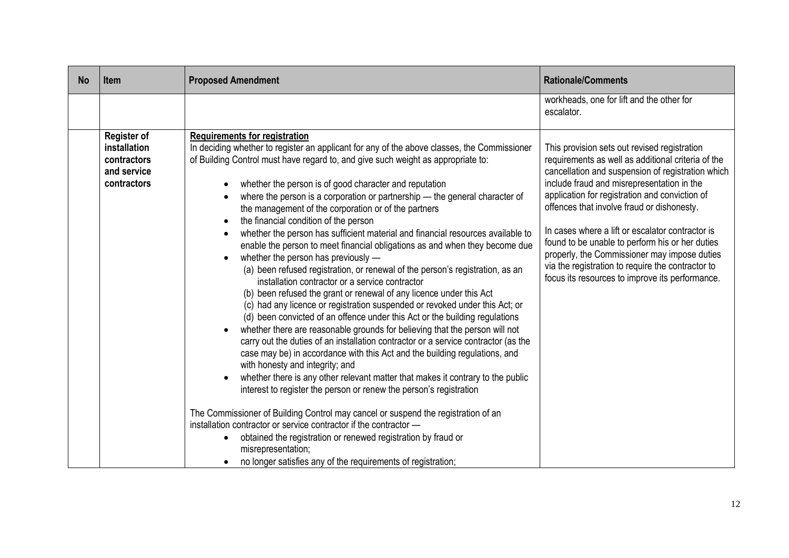| <b>No</b> | <b>Item</b>                                                                     | <b>Proposed Amendment</b>                                                                                                                                                                                                                                                                                                                                                                                                                                                                                                                                                                                                                                                                                                                                                                                                                                                                                                                                                                                                                                                                                                                                                                                                                                                                                                                                                                                                                                                                                                                                                                                                                                                                                                                                                                                                        | <b>Rationale/Comments</b>                                                                                                                                                                                                                                                                                                                                                                                                                                                                                                                                            |
|-----------|---------------------------------------------------------------------------------|----------------------------------------------------------------------------------------------------------------------------------------------------------------------------------------------------------------------------------------------------------------------------------------------------------------------------------------------------------------------------------------------------------------------------------------------------------------------------------------------------------------------------------------------------------------------------------------------------------------------------------------------------------------------------------------------------------------------------------------------------------------------------------------------------------------------------------------------------------------------------------------------------------------------------------------------------------------------------------------------------------------------------------------------------------------------------------------------------------------------------------------------------------------------------------------------------------------------------------------------------------------------------------------------------------------------------------------------------------------------------------------------------------------------------------------------------------------------------------------------------------------------------------------------------------------------------------------------------------------------------------------------------------------------------------------------------------------------------------------------------------------------------------------------------------------------------------|----------------------------------------------------------------------------------------------------------------------------------------------------------------------------------------------------------------------------------------------------------------------------------------------------------------------------------------------------------------------------------------------------------------------------------------------------------------------------------------------------------------------------------------------------------------------|
|           |                                                                                 |                                                                                                                                                                                                                                                                                                                                                                                                                                                                                                                                                                                                                                                                                                                                                                                                                                                                                                                                                                                                                                                                                                                                                                                                                                                                                                                                                                                                                                                                                                                                                                                                                                                                                                                                                                                                                                  | workheads, one for lift and the other for<br>escalator.                                                                                                                                                                                                                                                                                                                                                                                                                                                                                                              |
|           | <b>Register of</b><br>installation<br>contractors<br>and service<br>contractors | <b>Requirements for registration</b><br>In deciding whether to register an applicant for any of the above classes, the Commissioner<br>of Building Control must have regard to, and give such weight as appropriate to:<br>whether the person is of good character and reputation<br>where the person is a corporation or partnership - the general character of<br>the management of the corporation or of the partners<br>the financial condition of the person<br>whether the person has sufficient material and financial resources available to<br>enable the person to meet financial obligations as and when they become due<br>whether the person has previously -<br>$\bullet$<br>(a) been refused registration, or renewal of the person's registration, as an<br>installation contractor or a service contractor<br>(b) been refused the grant or renewal of any licence under this Act<br>(c) had any licence or registration suspended or revoked under this Act; or<br>(d) been convicted of an offence under this Act or the building regulations<br>whether there are reasonable grounds for believing that the person will not<br>carry out the duties of an installation contractor or a service contractor (as the<br>case may be) in accordance with this Act and the building regulations, and<br>with honesty and integrity; and<br>whether there is any other relevant matter that makes it contrary to the public<br>interest to register the person or renew the person's registration<br>The Commissioner of Building Control may cancel or suspend the registration of an<br>installation contractor or service contractor if the contractor -<br>obtained the registration or renewed registration by fraud or<br>misrepresentation;<br>no longer satisfies any of the requirements of registration; | This provision sets out revised registration<br>requirements as well as additional criteria of the<br>cancellation and suspension of registration which<br>include fraud and misrepresentation in the<br>application for registration and conviction of<br>offences that involve fraud or dishonesty.<br>In cases where a lift or escalator contractor is<br>found to be unable to perform his or her duties<br>properly, the Commissioner may impose duties<br>via the registration to require the contractor to<br>focus its resources to improve its performance. |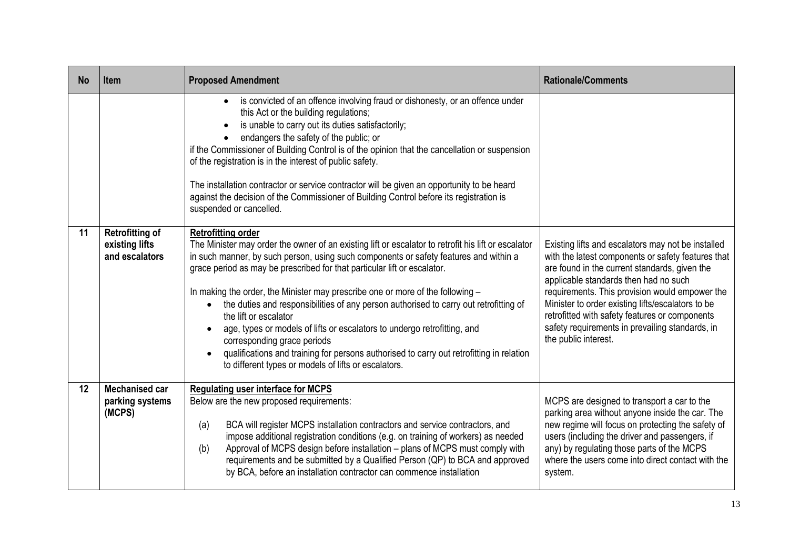| <b>No</b> | <b>Item</b>                                                | <b>Proposed Amendment</b>                                                                                                                                                                                                                                                                                                                                                                                                                                                                                                                                                                                                                                                                                                                                                | <b>Rationale/Comments</b>                                                                                                                                                                                                                                                                                                                                                                                                              |
|-----------|------------------------------------------------------------|--------------------------------------------------------------------------------------------------------------------------------------------------------------------------------------------------------------------------------------------------------------------------------------------------------------------------------------------------------------------------------------------------------------------------------------------------------------------------------------------------------------------------------------------------------------------------------------------------------------------------------------------------------------------------------------------------------------------------------------------------------------------------|----------------------------------------------------------------------------------------------------------------------------------------------------------------------------------------------------------------------------------------------------------------------------------------------------------------------------------------------------------------------------------------------------------------------------------------|
|           |                                                            | is convicted of an offence involving fraud or dishonesty, or an offence under<br>$\bullet$<br>this Act or the building regulations;<br>is unable to carry out its duties satisfactorily;<br>endangers the safety of the public; or<br>if the Commissioner of Building Control is of the opinion that the cancellation or suspension<br>of the registration is in the interest of public safety.<br>The installation contractor or service contractor will be given an opportunity to be heard<br>against the decision of the Commissioner of Building Control before its registration is<br>suspended or cancelled.                                                                                                                                                      |                                                                                                                                                                                                                                                                                                                                                                                                                                        |
| 11        | <b>Retrofitting of</b><br>existing lifts<br>and escalators | <b>Retrofitting order</b><br>The Minister may order the owner of an existing lift or escalator to retrofit his lift or escalator<br>in such manner, by such person, using such components or safety features and within a<br>grace period as may be prescribed for that particular lift or escalator.<br>In making the order, the Minister may prescribe one or more of the following -<br>the duties and responsibilities of any person authorised to carry out retrofitting of<br>the lift or escalator<br>age, types or models of lifts or escalators to undergo retrofitting, and<br>corresponding grace periods<br>qualifications and training for persons authorised to carry out retrofitting in relation<br>to different types or models of lifts or escalators. | Existing lifts and escalators may not be installed<br>with the latest components or safety features that<br>are found in the current standards, given the<br>applicable standards then had no such<br>requirements. This provision would empower the<br>Minister to order existing lifts/escalators to be<br>retrofitted with safety features or components<br>safety requirements in prevailing standards, in<br>the public interest. |
| 12        | <b>Mechanised car</b><br>parking systems<br>(MCPS)         | <b>Regulating user interface for MCPS</b><br>Below are the new proposed requirements:<br>BCA will register MCPS installation contractors and service contractors, and<br>(a)<br>impose additional registration conditions (e.g. on training of workers) as needed<br>Approval of MCPS design before installation - plans of MCPS must comply with<br>(b)<br>requirements and be submitted by a Qualified Person (QP) to BCA and approved<br>by BCA, before an installation contractor can commence installation                                                                                                                                                                                                                                                          | MCPS are designed to transport a car to the<br>parking area without anyone inside the car. The<br>new regime will focus on protecting the safety of<br>users (including the driver and passengers, if<br>any) by regulating those parts of the MCPS<br>where the users come into direct contact with the<br>system.                                                                                                                    |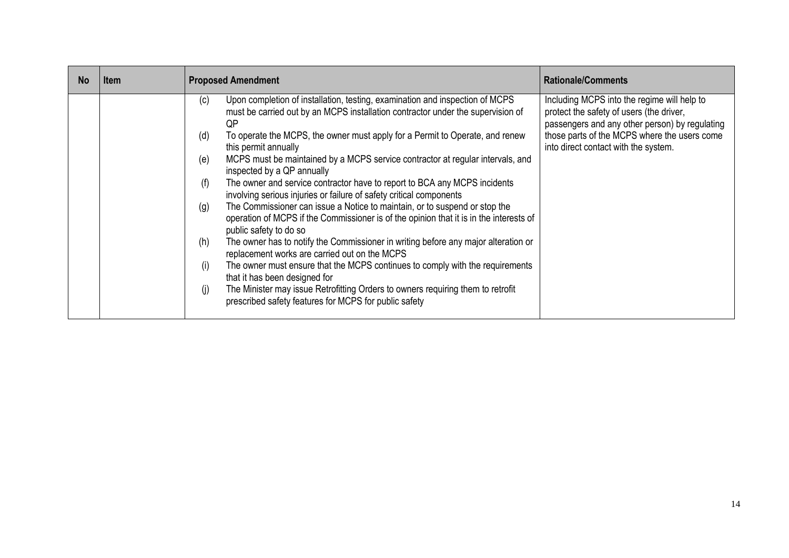| <b>No</b> | ltem                                                 | <b>Proposed Amendment</b>                                                                                                                                                                                                                                                                                                                                                                                                                                                                                                                                                                                                                                                                                                                                                                                                                                                                                                                                                                                                                                                                                                                                | <b>Rationale/Comments</b>                                                                                                                                                                                                         |
|-----------|------------------------------------------------------|----------------------------------------------------------------------------------------------------------------------------------------------------------------------------------------------------------------------------------------------------------------------------------------------------------------------------------------------------------------------------------------------------------------------------------------------------------------------------------------------------------------------------------------------------------------------------------------------------------------------------------------------------------------------------------------------------------------------------------------------------------------------------------------------------------------------------------------------------------------------------------------------------------------------------------------------------------------------------------------------------------------------------------------------------------------------------------------------------------------------------------------------------------|-----------------------------------------------------------------------------------------------------------------------------------------------------------------------------------------------------------------------------------|
|           | (c)<br>(d)<br>(e)<br>(f)<br>(g)<br>(h)<br>(i)<br>(j) | Upon completion of installation, testing, examination and inspection of MCPS<br>must be carried out by an MCPS installation contractor under the supervision of<br>QP<br>To operate the MCPS, the owner must apply for a Permit to Operate, and renew<br>this permit annually<br>MCPS must be maintained by a MCPS service contractor at regular intervals, and<br>inspected by a QP annually<br>The owner and service contractor have to report to BCA any MCPS incidents<br>involving serious injuries or failure of safety critical components<br>The Commissioner can issue a Notice to maintain, or to suspend or stop the<br>operation of MCPS if the Commissioner is of the opinion that it is in the interests of<br>public safety to do so<br>The owner has to notify the Commissioner in writing before any major alteration or<br>replacement works are carried out on the MCPS<br>The owner must ensure that the MCPS continues to comply with the requirements<br>that it has been designed for<br>The Minister may issue Retrofitting Orders to owners requiring them to retrofit<br>prescribed safety features for MCPS for public safety | Including MCPS into the regime will help to<br>protect the safety of users (the driver,<br>passengers and any other person) by regulating<br>those parts of the MCPS where the users come<br>into direct contact with the system. |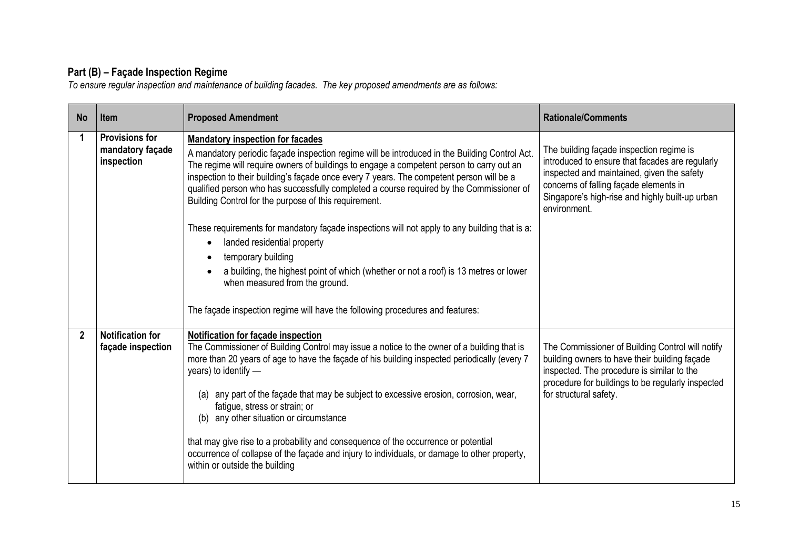#### **Part (B) – Façade Inspection Regime**

*To ensure regular inspection and maintenance of building facades. The key proposed amendments are as follows:*

| <b>No</b>      | Item                                                    | <b>Proposed Amendment</b>                                                                                                                                                                                                                                                                                                                                                                                                                                                                                                                                                                                                                                                                                                                                                                                                                                           | <b>Rationale/Comments</b>                                                                                                                                                                                                                              |
|----------------|---------------------------------------------------------|---------------------------------------------------------------------------------------------------------------------------------------------------------------------------------------------------------------------------------------------------------------------------------------------------------------------------------------------------------------------------------------------------------------------------------------------------------------------------------------------------------------------------------------------------------------------------------------------------------------------------------------------------------------------------------------------------------------------------------------------------------------------------------------------------------------------------------------------------------------------|--------------------------------------------------------------------------------------------------------------------------------------------------------------------------------------------------------------------------------------------------------|
| 1              | <b>Provisions for</b><br>mandatory façade<br>inspection | <b>Mandatory inspection for facades</b><br>A mandatory periodic façade inspection regime will be introduced in the Building Control Act.<br>The regime will require owners of buildings to engage a competent person to carry out an<br>inspection to their building's façade once every 7 years. The competent person will be a<br>qualified person who has successfully completed a course required by the Commissioner of<br>Building Control for the purpose of this requirement.<br>These requirements for mandatory façade inspections will not apply to any building that is a:<br>landed residential property<br>$\bullet$<br>temporary building<br>a building, the highest point of which (whether or not a roof) is 13 metres or lower<br>when measured from the ground.<br>The façade inspection regime will have the following procedures and features: | The building façade inspection regime is<br>introduced to ensure that facades are regularly<br>inspected and maintained, given the safety<br>concerns of falling façade elements in<br>Singapore's high-rise and highly built-up urban<br>environment. |
| $\overline{2}$ | <b>Notification for</b><br>façade inspection            | Notification for facade inspection<br>The Commissioner of Building Control may issue a notice to the owner of a building that is<br>more than 20 years of age to have the façade of his building inspected periodically (every 7<br>years) to identify -<br>any part of the façade that may be subject to excessive erosion, corrosion, wear,<br>(a)<br>fatigue, stress or strain; or<br>any other situation or circumstance<br>(b)<br>that may give rise to a probability and consequence of the occurrence or potential<br>occurrence of collapse of the façade and injury to individuals, or damage to other property,<br>within or outside the building                                                                                                                                                                                                         | The Commissioner of Building Control will notify<br>building owners to have their building façade<br>inspected. The procedure is similar to the<br>procedure for buildings to be regularly inspected<br>for structural safety.                         |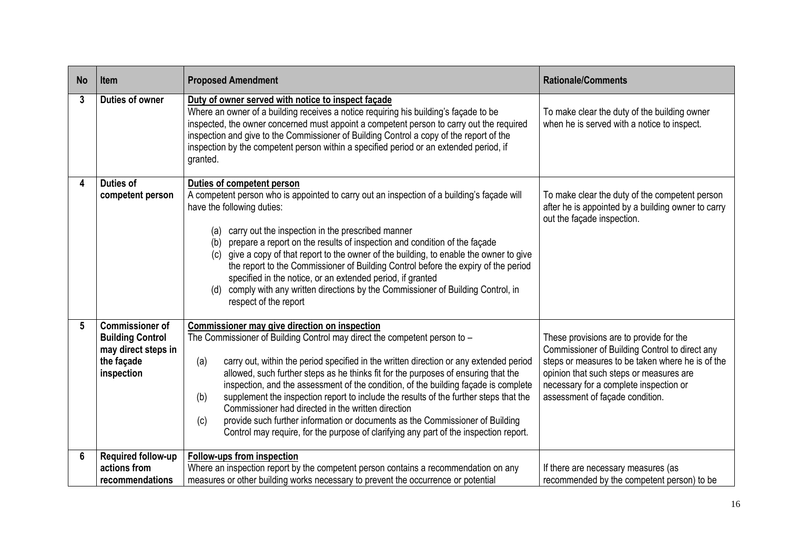| <b>No</b>       | Item                                                                                                 | <b>Proposed Amendment</b>                                                                                                                                                                                                                                                                                                                                                                                                                                                                                                                                                                                                                                                                                                                       | <b>Rationale/Comments</b>                                                                                                                                                                                                                                             |
|-----------------|------------------------------------------------------------------------------------------------------|-------------------------------------------------------------------------------------------------------------------------------------------------------------------------------------------------------------------------------------------------------------------------------------------------------------------------------------------------------------------------------------------------------------------------------------------------------------------------------------------------------------------------------------------------------------------------------------------------------------------------------------------------------------------------------------------------------------------------------------------------|-----------------------------------------------------------------------------------------------------------------------------------------------------------------------------------------------------------------------------------------------------------------------|
| 3               | <b>Duties of owner</b>                                                                               | Duty of owner served with notice to inspect façade<br>Where an owner of a building receives a notice requiring his building's façade to be<br>inspected, the owner concerned must appoint a competent person to carry out the required<br>inspection and give to the Commissioner of Building Control a copy of the report of the<br>inspection by the competent person within a specified period or an extended period, if<br>granted.                                                                                                                                                                                                                                                                                                         | To make clear the duty of the building owner<br>when he is served with a notice to inspect.                                                                                                                                                                           |
| Δ               | <b>Duties of</b><br>competent person                                                                 | Duties of competent person<br>A competent person who is appointed to carry out an inspection of a building's façade will<br>have the following duties:<br>carry out the inspection in the prescribed manner<br>(a)<br>prepare a report on the results of inspection and condition of the façade<br>(b)<br>give a copy of that report to the owner of the building, to enable the owner to give<br>(c)<br>the report to the Commissioner of Building Control before the expiry of the period<br>specified in the notice, or an extended period, if granted<br>(d) comply with any written directions by the Commissioner of Building Control, in<br>respect of the report                                                                        | To make clear the duty of the competent person<br>after he is appointed by a building owner to carry<br>out the façade inspection.                                                                                                                                    |
| 5               | <b>Commissioner of</b><br><b>Building Control</b><br>may direct steps in<br>the façade<br>inspection | Commissioner may give direction on inspection<br>The Commissioner of Building Control may direct the competent person to -<br>carry out, within the period specified in the written direction or any extended period<br>(a)<br>allowed, such further steps as he thinks fit for the purposes of ensuring that the<br>inspection, and the assessment of the condition, of the building façade is complete<br>supplement the inspection report to include the results of the further steps that the<br>(b)<br>Commissioner had directed in the written direction<br>provide such further information or documents as the Commissioner of Building<br>(c)<br>Control may require, for the purpose of clarifying any part of the inspection report. | These provisions are to provide for the<br>Commissioner of Building Control to direct any<br>steps or measures to be taken where he is of the<br>opinion that such steps or measures are<br>necessary for a complete inspection or<br>assessment of façade condition. |
| $6\phantom{1}6$ | Required follow-up<br>actions from<br>recommendations                                                | Follow-ups from inspection<br>Where an inspection report by the competent person contains a recommendation on any<br>measures or other building works necessary to prevent the occurrence or potential                                                                                                                                                                                                                                                                                                                                                                                                                                                                                                                                          | If there are necessary measures (as<br>recommended by the competent person) to be                                                                                                                                                                                     |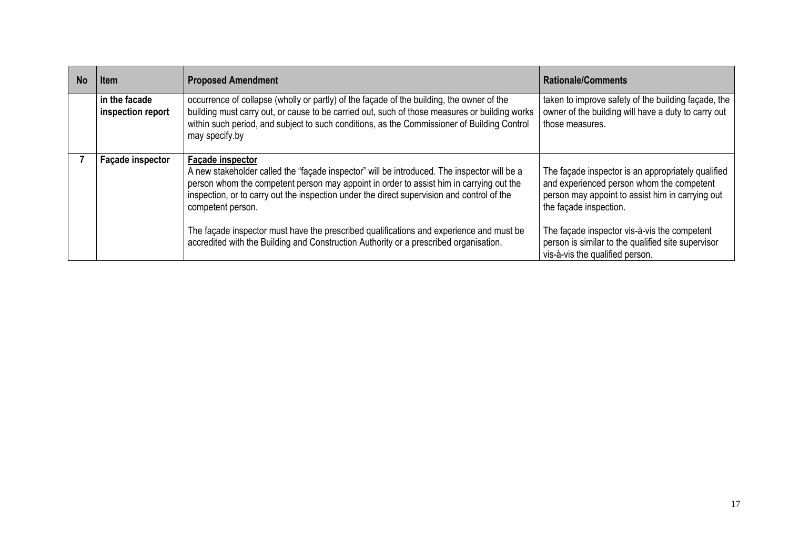| No. | <b>Item</b>                        | <b>Proposed Amendment</b>                                                                                                                                                                                                                                                                                                            | <b>Rationale/Comments</b>                                                                                                                                                     |
|-----|------------------------------------|--------------------------------------------------------------------------------------------------------------------------------------------------------------------------------------------------------------------------------------------------------------------------------------------------------------------------------------|-------------------------------------------------------------------------------------------------------------------------------------------------------------------------------|
|     | in the facade<br>inspection report | occurrence of collapse (wholly or partly) of the façade of the building, the owner of the<br>building must carry out, or cause to be carried out, such of those measures or building works<br>within such period, and subject to such conditions, as the Commissioner of Building Control<br>may specify.by                          | taken to improve safety of the building façade, the<br>owner of the building will have a duty to carry out<br>those measures.                                                 |
|     | <b>Façade inspector</b>            | <b>Facade inspector</b><br>A new stakeholder called the "façade inspector" will be introduced. The inspector will be a<br>person whom the competent person may appoint in order to assist him in carrying out the<br>inspection, or to carry out the inspection under the direct supervision and control of the<br>competent person. | The façade inspector is an appropriately qualified<br>and experienced person whom the competent<br>person may appoint to assist him in carrying out<br>the façade inspection. |
|     |                                    | The façade inspector must have the prescribed qualifications and experience and must be<br>accredited with the Building and Construction Authority or a prescribed organisation.                                                                                                                                                     | The façade inspector vis-à-vis the competent<br>person is similar to the qualified site supervisor<br>vis-à-vis the qualified person.                                         |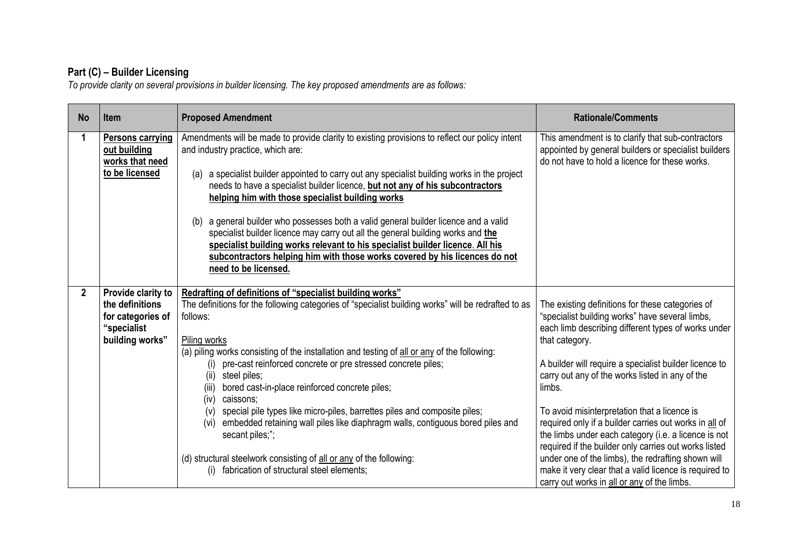#### **Part (C) – Builder Licensing**

*To provide clarity on several provisions in builder licensing. The key proposed amendments are as follows:*

| <b>No</b>      | <b>Item</b>                                                                                  | <b>Proposed Amendment</b>                                                                                                                                                                                                                                                                                                                                                                                                                                                                                                                                                                                                                                                                                                                                                             | <b>Rationale/Comments</b>                                                                                                                                                                                                                                                                                                                                                                                                                                                                                                                                                                                                                                                                     |
|----------------|----------------------------------------------------------------------------------------------|---------------------------------------------------------------------------------------------------------------------------------------------------------------------------------------------------------------------------------------------------------------------------------------------------------------------------------------------------------------------------------------------------------------------------------------------------------------------------------------------------------------------------------------------------------------------------------------------------------------------------------------------------------------------------------------------------------------------------------------------------------------------------------------|-----------------------------------------------------------------------------------------------------------------------------------------------------------------------------------------------------------------------------------------------------------------------------------------------------------------------------------------------------------------------------------------------------------------------------------------------------------------------------------------------------------------------------------------------------------------------------------------------------------------------------------------------------------------------------------------------|
|                | <b>Persons carrying</b><br>out building<br>works that need<br>to be licensed                 | Amendments will be made to provide clarity to existing provisions to reflect our policy intent<br>and industry practice, which are:<br>a specialist builder appointed to carry out any specialist building works in the project<br>(a)<br>needs to have a specialist builder licence, but not any of his subcontractors<br>helping him with those specialist building works<br>a general builder who possesses both a valid general builder licence and a valid<br>(b)<br>specialist builder licence may carry out all the general building works and the<br>specialist building works relevant to his specialist builder licence. All his<br>subcontractors helping him with those works covered by his licences do not<br>need to be licensed.                                      | This amendment is to clarify that sub-contractors<br>appointed by general builders or specialist builders<br>do not have to hold a licence for these works.                                                                                                                                                                                                                                                                                                                                                                                                                                                                                                                                   |
| $\overline{2}$ | Provide clarity to<br>the definitions<br>for categories of<br>"specialist<br>building works" | Redrafting of definitions of "specialist building works"<br>The definitions for the following categories of "specialist building works" will be redrafted to as<br>follows:<br>Piling works<br>(a) piling works consisting of the installation and testing of all or any of the following:<br>pre-cast reinforced concrete or pre stressed concrete piles;<br>steel piles;<br>(ii)<br>bored cast-in-place reinforced concrete piles;<br>(iii)<br>(iv) caissons;<br>(v) special pile types like micro-piles, barrettes piles and composite piles;<br>embedded retaining wall piles like diaphragm walls, contiguous bored piles and<br>(vi)<br>secant piles;";<br>(d) structural steelwork consisting of all or any of the following:<br>(i) fabrication of structural steel elements; | The existing definitions for these categories of<br>"specialist building works" have several limbs,<br>each limb describing different types of works under<br>that category.<br>A builder will require a specialist builder licence to<br>carry out any of the works listed in any of the<br>limbs.<br>To avoid misinterpretation that a licence is<br>required only if a builder carries out works in all of<br>the limbs under each category (i.e. a licence is not<br>required if the builder only carries out works listed<br>under one of the limbs), the redrafting shown will<br>make it very clear that a valid licence is required to<br>carry out works in all or any of the limbs. |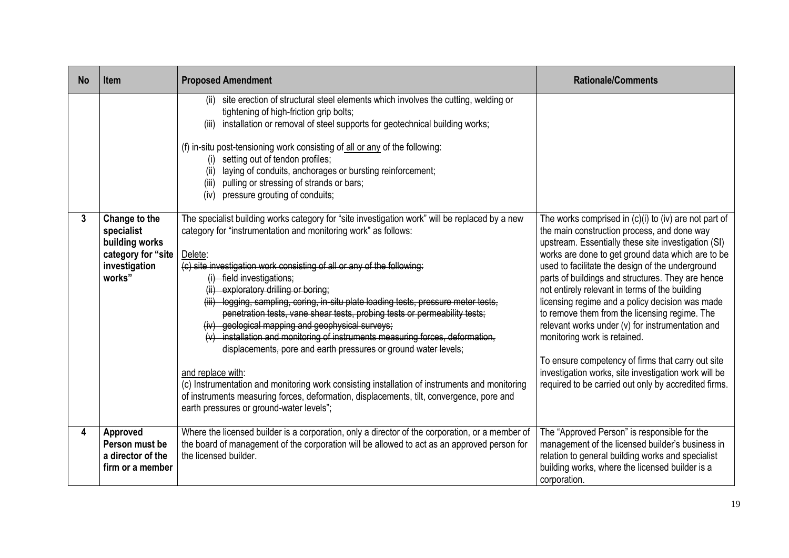| <b>No</b> | <b>Item</b>                                                                                    | <b>Proposed Amendment</b>                                                                                                                                                                                                                                                                                                                                                                                                                                                                                                                                                                                                                                                                                                                                                                                                                                                                                                                                            | <b>Rationale/Comments</b>                                                                                                                                                                                                                                                                                                                                                                                                                                                                                                                                                                                                                                                                                                                    |
|-----------|------------------------------------------------------------------------------------------------|----------------------------------------------------------------------------------------------------------------------------------------------------------------------------------------------------------------------------------------------------------------------------------------------------------------------------------------------------------------------------------------------------------------------------------------------------------------------------------------------------------------------------------------------------------------------------------------------------------------------------------------------------------------------------------------------------------------------------------------------------------------------------------------------------------------------------------------------------------------------------------------------------------------------------------------------------------------------|----------------------------------------------------------------------------------------------------------------------------------------------------------------------------------------------------------------------------------------------------------------------------------------------------------------------------------------------------------------------------------------------------------------------------------------------------------------------------------------------------------------------------------------------------------------------------------------------------------------------------------------------------------------------------------------------------------------------------------------------|
|           |                                                                                                | (ii) site erection of structural steel elements which involves the cutting, welding or<br>tightening of high-friction grip bolts;<br>installation or removal of steel supports for geotechnical building works;<br>(iii)<br>(f) in-situ post-tensioning work consisting of $all$ or any of the following:<br>(i) setting out of tendon profiles;<br>laying of conduits, anchorages or bursting reinforcement;<br>(ii)<br>(iii) pulling or stressing of strands or bars;<br>pressure grouting of conduits;<br>(iv)                                                                                                                                                                                                                                                                                                                                                                                                                                                    |                                                                                                                                                                                                                                                                                                                                                                                                                                                                                                                                                                                                                                                                                                                                              |
| 3         | Change to the<br>specialist<br>building works<br>category for "site<br>investigation<br>works" | The specialist building works category for "site investigation work" will be replaced by a new<br>category for "instrumentation and monitoring work" as follows:<br>Delete:<br>(c) site investigation work consisting of all or any of the following:<br>(i) field investigations;<br>(ii) exploratory drilling or boring;<br>(iii) logging, sampling, coring, in-situ plate loading tests, pressure meter tests,<br>penetration tests, vane shear tests, probing tests or permeability tests;<br>(iv) geological mapping and geophysical surveys;<br>(v) installation and monitoring of instruments measuring forces, deformation,<br>displacements, pore and earth pressures or ground water levels;<br>and replace with:<br>(c) Instrumentation and monitoring work consisting installation of instruments and monitoring<br>of instruments measuring forces, deformation, displacements, tilt, convergence, pore and<br>earth pressures or ground-water levels"; | The works comprised in $(c)(i)$ to $(iv)$ are not part of<br>the main construction process, and done way<br>upstream. Essentially these site investigation (SI)<br>works are done to get ground data which are to be<br>used to facilitate the design of the underground<br>parts of buildings and structures. They are hence<br>not entirely relevant in terms of the building<br>licensing regime and a policy decision was made<br>to remove them from the licensing regime. The<br>relevant works under (v) for instrumentation and<br>monitoring work is retained.<br>To ensure competency of firms that carry out site<br>investigation works, site investigation work will be<br>required to be carried out only by accredited firms. |
| 4         | Approved<br>Person must be<br>a director of the<br>firm or a member                            | Where the licensed builder is a corporation, only a director of the corporation, or a member of<br>the board of management of the corporation will be allowed to act as an approved person for<br>the licensed builder.                                                                                                                                                                                                                                                                                                                                                                                                                                                                                                                                                                                                                                                                                                                                              | The "Approved Person" is responsible for the<br>management of the licensed builder's business in<br>relation to general building works and specialist<br>building works, where the licensed builder is a<br>corporation.                                                                                                                                                                                                                                                                                                                                                                                                                                                                                                                     |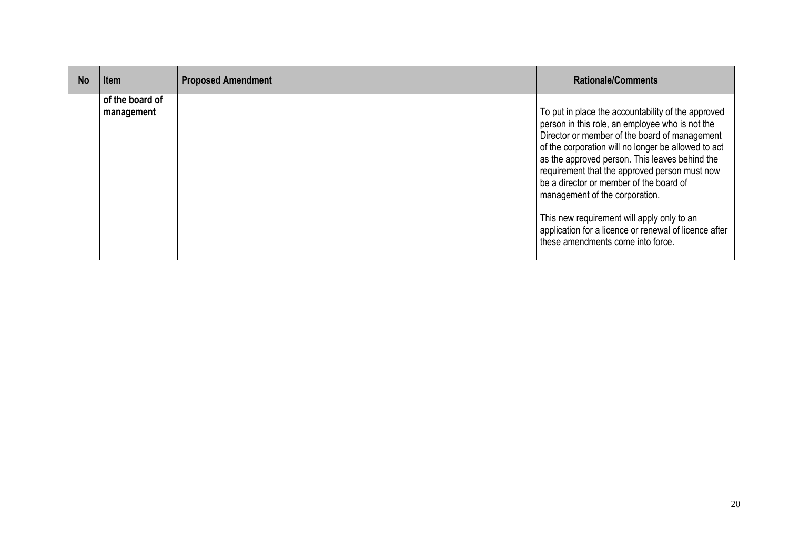| <b>No</b> | <b>Item</b>                   | <b>Proposed Amendment</b> | <b>Rationale/Comments</b>                                                                                                                                                                                                                                                                                                                                                                     |
|-----------|-------------------------------|---------------------------|-----------------------------------------------------------------------------------------------------------------------------------------------------------------------------------------------------------------------------------------------------------------------------------------------------------------------------------------------------------------------------------------------|
|           | of the board of<br>management |                           | To put in place the accountability of the approved<br>person in this role, an employee who is not the<br>Director or member of the board of management<br>of the corporation will no longer be allowed to act<br>as the approved person. This leaves behind the<br>requirement that the approved person must now<br>be a director or member of the board of<br>management of the corporation. |
|           |                               |                           | This new requirement will apply only to an<br>application for a licence or renewal of licence after<br>these amendments come into force.                                                                                                                                                                                                                                                      |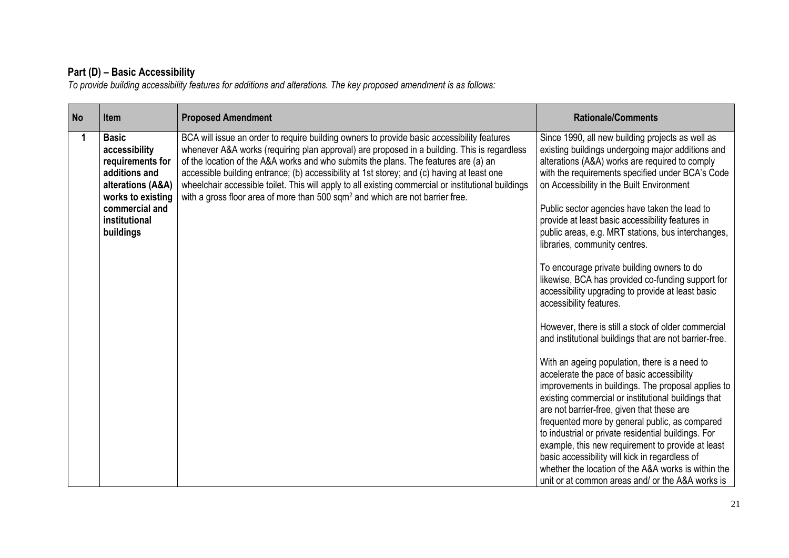#### **Part (D) – Basic Accessibility**

*To provide building accessibility features for additions and alterations. The key proposed amendment is as follows:*

| <b>No</b> | <b>Item</b>                                                                                                                                                  | <b>Proposed Amendment</b>                                                                                                                                                                                                                                                                                                                                                                                                                                                                                                                                                          | <b>Rationale/Comments</b>                                                                                                                                                                                                                                                                                                                                                                                                                                                                                                                                                                                                                                                                                                                                                                                                                                                                                                                                                                                                                                                                                                                                                                                                                                                                                                                     |
|-----------|--------------------------------------------------------------------------------------------------------------------------------------------------------------|------------------------------------------------------------------------------------------------------------------------------------------------------------------------------------------------------------------------------------------------------------------------------------------------------------------------------------------------------------------------------------------------------------------------------------------------------------------------------------------------------------------------------------------------------------------------------------|-----------------------------------------------------------------------------------------------------------------------------------------------------------------------------------------------------------------------------------------------------------------------------------------------------------------------------------------------------------------------------------------------------------------------------------------------------------------------------------------------------------------------------------------------------------------------------------------------------------------------------------------------------------------------------------------------------------------------------------------------------------------------------------------------------------------------------------------------------------------------------------------------------------------------------------------------------------------------------------------------------------------------------------------------------------------------------------------------------------------------------------------------------------------------------------------------------------------------------------------------------------------------------------------------------------------------------------------------|
|           | <b>Basic</b><br>accessibility<br>requirements for<br>additions and<br>alterations (A&A)<br>works to existing<br>commercial and<br>institutional<br>buildings | BCA will issue an order to require building owners to provide basic accessibility features<br>whenever A&A works (requiring plan approval) are proposed in a building. This is regardless<br>of the location of the A&A works and who submits the plans. The features are (a) an<br>accessible building entrance; (b) accessibility at 1st storey; and (c) having at least one<br>wheelchair accessible toilet. This will apply to all existing commercial or institutional buildings<br>with a gross floor area of more than 500 sqm <sup>2</sup> and which are not barrier free. | Since 1990, all new building projects as well as<br>existing buildings undergoing major additions and<br>alterations (A&A) works are required to comply<br>with the requirements specified under BCA's Code<br>on Accessibility in the Built Environment<br>Public sector agencies have taken the lead to<br>provide at least basic accessibility features in<br>public areas, e.g. MRT stations, bus interchanges,<br>libraries, community centres.<br>To encourage private building owners to do<br>likewise, BCA has provided co-funding support for<br>accessibility upgrading to provide at least basic<br>accessibility features.<br>However, there is still a stock of older commercial<br>and institutional buildings that are not barrier-free.<br>With an ageing population, there is a need to<br>accelerate the pace of basic accessibility<br>improvements in buildings. The proposal applies to<br>existing commercial or institutional buildings that<br>are not barrier-free, given that these are<br>frequented more by general public, as compared<br>to industrial or private residential buildings. For<br>example, this new requirement to provide at least<br>basic accessibility will kick in regardless of<br>whether the location of the A&A works is within the<br>unit or at common areas and/ or the A&A works is |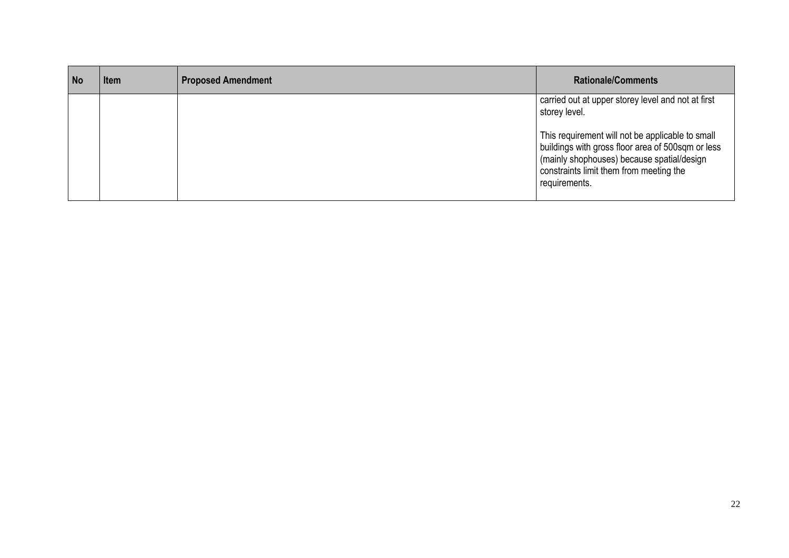| <b>No</b> | Item | <b>Proposed Amendment</b> | <b>Rationale/Comments</b>                                                                                                                                                                                       |
|-----------|------|---------------------------|-----------------------------------------------------------------------------------------------------------------------------------------------------------------------------------------------------------------|
|           |      |                           | carried out at upper storey level and not at first<br>storey level.                                                                                                                                             |
|           |      |                           | This requirement will not be applicable to small<br>buildings with gross floor area of 500sqm or less<br>(mainly shophouses) because spatial/design<br>constraints limit them from meeting the<br>requirements. |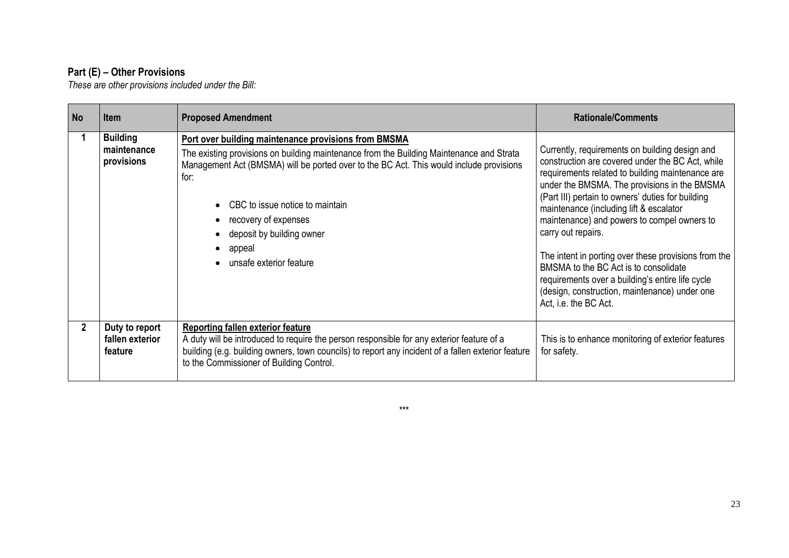#### **Part (E) – Other Provisions**

*These are other provisions included under the Bill:*

| <b>No</b>    | <b>Item</b>                                  | <b>Proposed Amendment</b>                                                                                                                                                                                                                                                                                                                                                          | <b>Rationale/Comments</b>                                                                                                                                                                                                                                                                                                                                                                                                                                                                                                                                                                                  |
|--------------|----------------------------------------------|------------------------------------------------------------------------------------------------------------------------------------------------------------------------------------------------------------------------------------------------------------------------------------------------------------------------------------------------------------------------------------|------------------------------------------------------------------------------------------------------------------------------------------------------------------------------------------------------------------------------------------------------------------------------------------------------------------------------------------------------------------------------------------------------------------------------------------------------------------------------------------------------------------------------------------------------------------------------------------------------------|
|              | <b>Building</b><br>maintenance<br>provisions | Port over building maintenance provisions from BMSMA<br>The existing provisions on building maintenance from the Building Maintenance and Strata<br>Management Act (BMSMA) will be ported over to the BC Act. This would include provisions<br>for:<br>CBC to issue notice to maintain<br>recovery of expenses<br>deposit by building owner<br>appeal<br>• unsafe exterior feature | Currently, requirements on building design and<br>construction are covered under the BC Act, while<br>requirements related to building maintenance are<br>under the BMSMA. The provisions in the BMSMA<br>(Part III) pertain to owners' duties for building<br>maintenance (including lift & escalator<br>maintenance) and powers to compel owners to<br>carry out repairs.<br>The intent in porting over these provisions from the<br>BMSMA to the BC Act is to consolidate<br>requirements over a building's entire life cycle<br>(design, construction, maintenance) under one<br>Act, i.e. the BC Act. |
| $\mathbf{2}$ | Duty to report<br>fallen exterior<br>feature | <b>Reporting fallen exterior feature</b><br>A duty will be introduced to require the person responsible for any exterior feature of a<br>building (e.g. building owners, town councils) to report any incident of a fallen exterior feature<br>to the Commissioner of Building Control.                                                                                            | This is to enhance monitoring of exterior features<br>for safety.                                                                                                                                                                                                                                                                                                                                                                                                                                                                                                                                          |

\*\*\*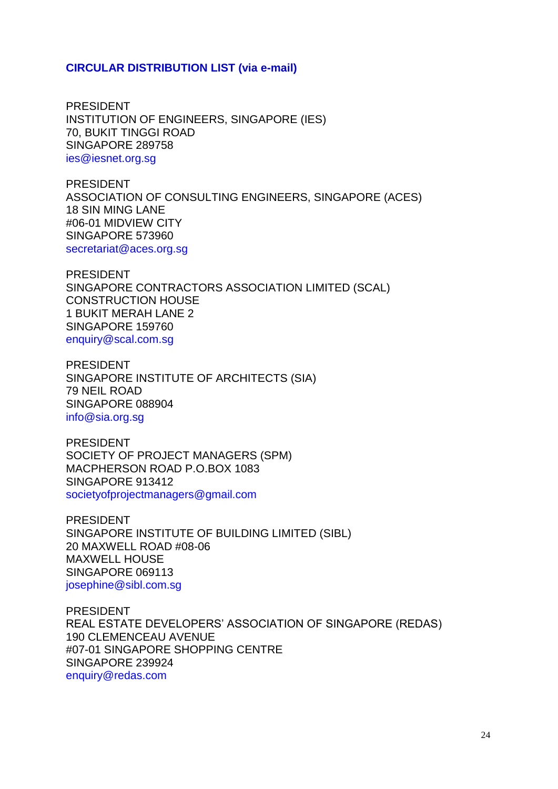#### **CIRCULAR DISTRIBUTION LIST (via e-mail)**

PRESIDENT INSTITUTION OF ENGINEERS, SINGAPORE (IES) 70, BUKIT TINGGI ROAD SINGAPORE 289758 ies@iesnet.org.sg

PRESIDENT ASSOCIATION OF CONSULTING ENGINEERS, SINGAPORE (ACES) 18 SIN MING LANE #06-01 MIDVIEW CITY SINGAPORE 573960 secretariat@aces.org.sg

PRESIDENT SINGAPORE CONTRACTORS ASSOCIATION LIMITED (SCAL) CONSTRUCTION HOUSE 1 BUKIT MERAH LANE 2 SINGAPORE 159760 enquiry@scal.com.sg

PRESIDENT SINGAPORE INSTITUTE OF ARCHITECTS (SIA) 79 NEIL ROAD SINGAPORE 088904 info@sia.org.sg

PRESIDENT SOCIETY OF PROJECT MANAGERS (SPM) MACPHERSON ROAD P.O.BOX 1083 SINGAPORE 913412 societyofprojectmanagers@gmail.com

PRESIDENT SINGAPORE INSTITUTE OF BUILDING LIMITED (SIBL) 20 MAXWELL ROAD #08-06 MAXWELL HOUSE SINGAPORE 069113 josephine@sibl.com.sg

PRESIDENT REAL ESTATE DEVELOPERS' ASSOCIATION OF SINGAPORE (REDAS) 190 CLEMENCEAU AVENUE #07-01 SINGAPORE SHOPPING CENTRE SINGAPORE 239924 enquiry@redas.com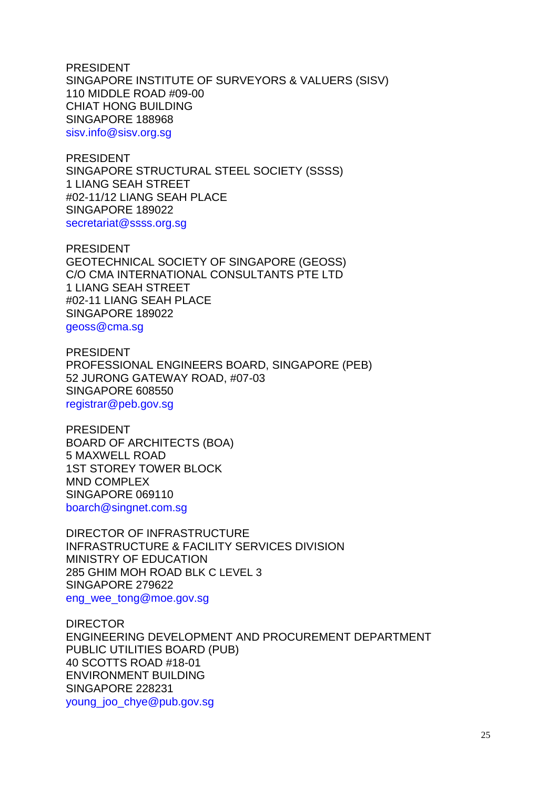PRESIDENT SINGAPORE INSTITUTE OF SURVEYORS & VALUERS (SISV) 110 MIDDLE ROAD #09-00 CHIAT HONG BUILDING SINGAPORE 188968 sisv.info@sisv.org.sg

PRESIDENT SINGAPORE STRUCTURAL STEEL SOCIETY (SSSS) 1 LIANG SEAH STREET #02-11/12 LIANG SEAH PLACE SINGAPORE 189022 secretariat@ssss.org.sg

PRESIDENT GEOTECHNICAL SOCIETY OF SINGAPORE (GEOSS) C/O CMA INTERNATIONAL CONSULTANTS PTE LTD 1 LIANG SEAH STREET #02-11 LIANG SEAH PLACE SINGAPORE 189022 geoss@cma.sg

PRESIDENT PROFESSIONAL ENGINEERS BOARD, SINGAPORE (PEB) 52 JURONG GATEWAY ROAD, #07-03 SINGAPORE 608550 registrar@peb.gov.sg

PRESIDENT BOARD OF ARCHITECTS (BOA) 5 MAXWELL ROAD 1ST STOREY TOWER BLOCK MND COMPLEX SINGAPORE 069110 boarch@singnet.com.sg

DIRECTOR OF INFRASTRUCTURE INFRASTRUCTURE & FACILITY SERVICES DIVISION MINISTRY OF EDUCATION 285 GHIM MOH ROAD BLK C LEVEL 3 SINGAPORE 279622 eng\_wee\_tong@moe.gov.sg

DIRECTOR ENGINEERING DEVELOPMENT AND PROCUREMENT DEPARTMENT PUBLIC UTILITIES BOARD (PUB) 40 SCOTTS ROAD #18-01 ENVIRONMENT BUILDING SINGAPORE 228231 young\_joo\_chye@pub.gov.sg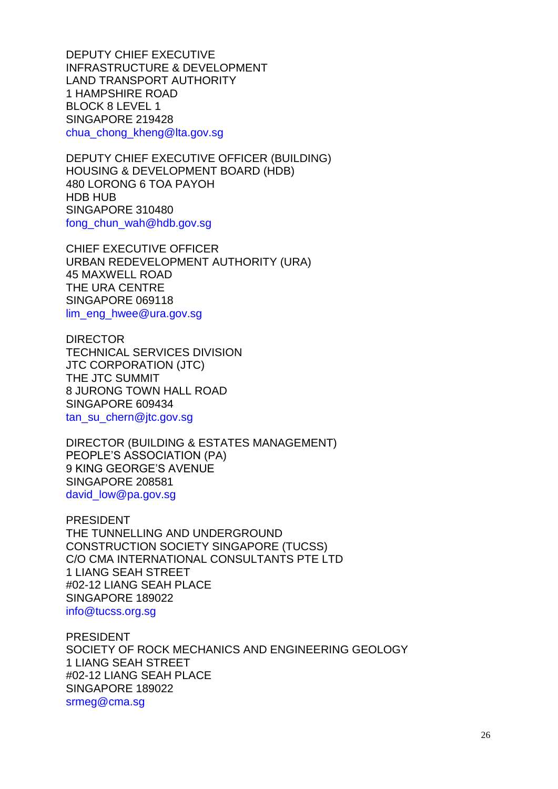DEPUTY CHIEF EXECUTIVE INFRASTRUCTURE & DEVELOPMENT LAND TRANSPORT AUTHORITY 1 HAMPSHIRE ROAD BLOCK 8 LEVEL 1 SINGAPORE 219428 chua\_chong\_kheng@lta.gov.sg

DEPUTY CHIEF EXECUTIVE OFFICER (BUILDING) HOUSING & DEVELOPMENT BOARD (HDB) 480 LORONG 6 TOA PAYOH HDB HUB SINGAPORE 310480 fong chun wah@hdb.gov.sg

CHIEF EXECUTIVE OFFICER URBAN REDEVELOPMENT AUTHORITY (URA) 45 MAXWELL ROAD THE URA CENTRE SINGAPORE 069118 lim\_eng\_hwee@ura.gov.sg

DIRECTOR TECHNICAL SERVICES DIVISION JTC CORPORATION (JTC) THE JTC SUMMIT 8 JURONG TOWN HALL ROAD SINGAPORE 609434 tan\_su\_chern@jtc.gov.sg

DIRECTOR (BUILDING & ESTATES MANAGEMENT) PEOPLE'S ASSOCIATION (PA) 9 KING GEORGE'S AVENUE SINGAPORE 208581 david\_low@pa.gov.sg

PRESIDENT THE TUNNELLING AND UNDERGROUND CONSTRUCTION SOCIETY SINGAPORE (TUCSS) C/O CMA INTERNATIONAL CONSULTANTS PTE LTD 1 LIANG SEAH STREET #02-12 LIANG SEAH PLACE SINGAPORE 189022 info@tucss.org.sg

PRESIDENT SOCIETY OF ROCK MECHANICS AND ENGINEERING GEOLOGY 1 LIANG SEAH STREET #02-12 LIANG SEAH PLACE SINGAPORE 189022 srmeg@cma.sg